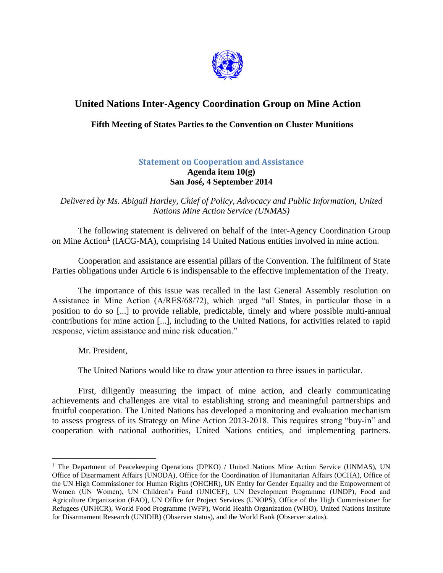

## **United Nations Inter-Agency Coordination Group on Mine Action**

## **Fifth Meeting of States Parties to the Convention on Cluster Munitions**

## **Statement on Cooperation and Assistance**

## **Agenda item 10(g) San José, 4 September 2014**

*Delivered by Ms. Abigail Hartley, Chief of Policy, Advocacy and Public Information, United Nations Mine Action Service (UNMAS)*

The following statement is delivered on behalf of the Inter-Agency Coordination Group on Mine Action<sup>1</sup> (IACG-MA), comprising 14 United Nations entities involved in mine action.

Cooperation and assistance are essential pillars of the Convention. The fulfilment of State Parties obligations under Article 6 is indispensable to the effective implementation of the Treaty.

The importance of this issue was recalled in the last General Assembly resolution on Assistance in Mine Action (A/RES/68/72), which urged "all States, in particular those in a position to do so [...] to provide reliable, predictable, timely and where possible multi-annual contributions for mine action [...], including to the United Nations, for activities related to rapid response, victim assistance and mine risk education."

Mr. President,

 $\overline{a}$ 

The United Nations would like to draw your attention to three issues in particular.

First, diligently measuring the impact of mine action, and clearly communicating achievements and challenges are vital to establishing strong and meaningful partnerships and fruitful cooperation. The United Nations has developed a monitoring and evaluation mechanism to assess progress of its Strategy on Mine Action 2013-2018. This requires strong "buy-in" and cooperation with national authorities, United Nations entities, and implementing partners.

<sup>&</sup>lt;sup>1</sup> The Department of Peacekeeping Operations (DPKO) / United Nations Mine Action Service (UNMAS), UN Office of Disarmament Affairs (UNODA), Office for the Coordination of Humanitarian Affairs (OCHA), Office of the UN High Commissioner for Human Rights (OHCHR), UN Entity for Gender Equality and the Empowerment of Women (UN Women), UN Children's Fund (UNICEF), UN Development Programme (UNDP), Food and Agriculture Organization (FAO), UN Office for Project Services (UNOPS), Office of the High Commissioner for Refugees (UNHCR), World Food Programme (WFP), World Health Organization (WHO), United Nations Institute for Disarmament Research (UNIDIR) (Observer status), and the World Bank (Observer status).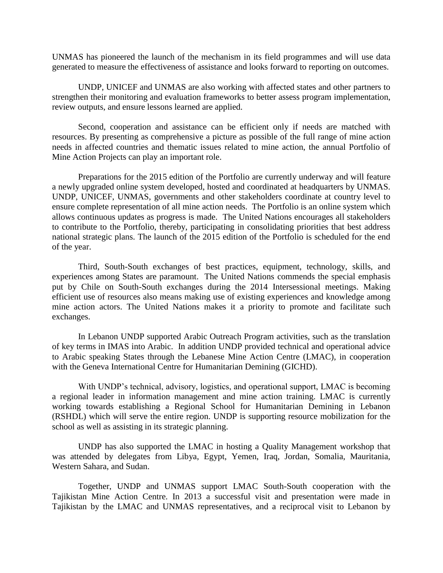UNMAS has pioneered the launch of the mechanism in its field programmes and will use data generated to measure the effectiveness of assistance and looks forward to reporting on outcomes.

UNDP, UNICEF and UNMAS are also working with affected states and other partners to strengthen their monitoring and evaluation frameworks to better assess program implementation, review outputs, and ensure lessons learned are applied.

Second, cooperation and assistance can be efficient only if needs are matched with resources. By presenting as comprehensive a picture as possible of the full range of mine action needs in affected countries and thematic issues related to mine action, the annual Portfolio of Mine Action Projects can play an important role.

Preparations for the 2015 edition of the Portfolio are currently underway and will feature a newly upgraded online system developed, hosted and coordinated at headquarters by UNMAS. UNDP, UNICEF, UNMAS, governments and other stakeholders coordinate at country level to ensure complete representation of all mine action needs. The Portfolio is an online system which allows continuous updates as progress is made. The United Nations encourages all stakeholders to contribute to the Portfolio, thereby, participating in consolidating priorities that best address national strategic plans. The launch of the 2015 edition of the Portfolio is scheduled for the end of the year.

Third, South-South exchanges of best practices, equipment, technology, skills, and experiences among States are paramount. The United Nations commends the special emphasis put by Chile on South-South exchanges during the 2014 Intersessional meetings. Making efficient use of resources also means making use of existing experiences and knowledge among mine action actors. The United Nations makes it a priority to promote and facilitate such exchanges.

In Lebanon UNDP supported Arabic Outreach Program activities, such as the translation of key terms in IMAS into Arabic. In addition UNDP provided technical and operational advice to Arabic speaking States through the Lebanese Mine Action Centre (LMAC), in cooperation with the Geneva International Centre for Humanitarian Demining (GICHD).

With UNDP's technical, advisory, logistics, and operational support, LMAC is becoming a regional leader in information management and mine action training. LMAC is currently working towards establishing a Regional School for Humanitarian Demining in Lebanon (RSHDL) which will serve the entire region. UNDP is supporting resource mobilization for the school as well as assisting in its strategic planning.

UNDP has also supported the LMAC in hosting a Quality Management workshop that was attended by delegates from Libya, Egypt, Yemen, Iraq, Jordan, Somalia, Mauritania, Western Sahara, and Sudan.

Together, UNDP and UNMAS support LMAC South-South cooperation with the Tajikistan Mine Action Centre. In 2013 a successful visit and presentation were made in Tajikistan by the LMAC and UNMAS representatives, and a reciprocal visit to Lebanon by